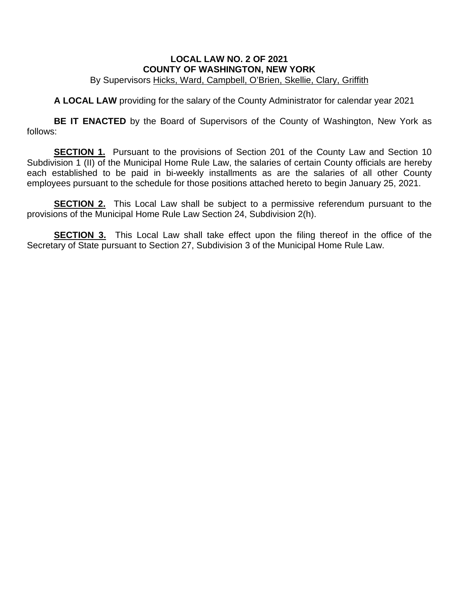## **LOCAL LAW NO. 2 OF 2021 COUNTY OF WASHINGTON, NEW YORK** By Supervisors Hicks, Ward, Campbell, O'Brien, Skellie, Clary, Griffith

**A LOCAL LAW** providing for the salary of the County Administrator for calendar year 2021

**BE IT ENACTED** by the Board of Supervisors of the County of Washington, New York as follows:

**SECTION 1.** Pursuant to the provisions of Section 201 of the County Law and Section 10 Subdivision 1 (II) of the Municipal Home Rule Law, the salaries of certain County officials are hereby each established to be paid in bi-weekly installments as are the salaries of all other County employees pursuant to the schedule for those positions attached hereto to begin January 25, 2021.

**SECTION 2.** This Local Law shall be subject to a permissive referendum pursuant to the provisions of the Municipal Home Rule Law Section 24, Subdivision 2(h).

**SECTION 3.** This Local Law shall take effect upon the filing thereof in the office of the Secretary of State pursuant to Section 27, Subdivision 3 of the Municipal Home Rule Law.